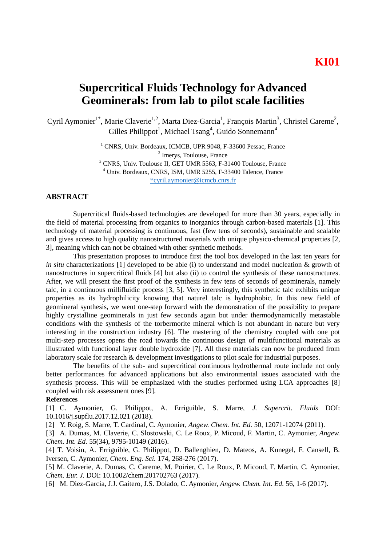## **Supercritical Fluids Technology for Advanced Geominerals: from lab to pilot scale facilities**

Cyril Aymonier<sup>1\*</sup>, Marie Claverie<sup>1,2</sup>, Marta Diez-Garcia<sup>1</sup>, François Martin<sup>3</sup>, Christel Careme<sup>2</sup>, Gilles Philippot<sup>1</sup>, Michael Tsang<sup>4</sup>, Guido Sonnemann<sup>4</sup>

> <sup>1</sup> CNRS, Univ. Bordeaux, ICMCB, UPR 9048, F-33600 Pessac, France 2 Imerys, Toulouse, France <sup>3</sup> CNRS, Univ. Toulouse II, GET UMR 5563, F-31400 Toulouse, France <sup>4</sup> Univ. Bordeaux, CNRS, ISM, UMR 5255, F-33400 Talence, France [\\*cyril.aymonier@icmcb.cnrs.fr](mailto:*cyril.aymonier@icmcb.cnrs.fr)

## **ABSTRACT**

Supercritical fluids-based technologies are developed for more than 30 years, especially in the field of material processing from organics to inorganics through carbon-based materials [1]. This technology of material processing is continuous, fast (few tens of seconds), sustainable and scalable and gives access to high quality nanostructured materials with unique physico-chemical properties [2, 3], meaning which can not be obtained with other synthetic methods.

This presentation proposes to introduce first the tool box developed in the last ten years for *in situ* characterizations [1] developed to be able (i) to understand and model nucleation & growth of nanostructures in supercritical fluids [4] but also (ii) to control the synthesis of these nanostructures. After, we will present the first proof of the synthesis in few tens of seconds of geominerals, namely talc, in a continuous millifluidic process [3, 5]. Very interestingly, this synthetic talc exhibits unique properties as its hydrophilicity knowing that naturel talc is hydrophobic. In this new field of geomineral synthesis, we went one-step forward with the demonstration of the possibility to prepare highly crystalline geominerals in just few seconds again but under thermodynamically metastable conditions with the synthesis of the torbermorite mineral which is not abundant in nature but very interesting in the construction industry [6]. The mastering of the chemistry coupled with one pot multi-step processes opens the road towards the continuous design of multifunctional materials as illustrated with functional layer double hydroxide [7]. All these materials can now be produced from laboratory scale for research & development investigations to pilot scale for industrial purposes.

The benefits of the sub- and supercritical continuous hydrothermal route include not only better performances for advanced applications but also environmental issues associated with the synthesis process. This will be emphasized with the studies performed using LCA approaches [8] coupled with risk assessment ones [9].

## **References**

[1] C. Aymonier, G. Philippot, A. Erriguible, S. Marre, *J. Supercrit. Fluids* DOI: 10.1016/j.supflu.2017.12.021 (2018).

[2] Y. Roig, S. Marre, T. Cardinal, C. Aymonier, *Angew. Chem. Int. Ed.* 50, 12071-12074 (2011).

[3] A. Dumas, M. Claverie, C. Slostowski, C. Le Roux, P. Micoud, F. Martin, C. Aymonier, *Angew. Chem. Int. Ed.* 55(34), 9795-10149 (2016).

[4] T. Voisin, A. Erriguible, G. Philippot, D. Ballenghien, D. Mateos, A. Kunegel, F. Cansell, B. Iversen, C. Aymonier, *Chem. Eng. Sci.* 174, 268-276 (2017).

[5] M. Claverie, A. Dumas, C. Careme, M. Poirier, C. Le Roux, P. Micoud, F. Martin, C. Aymonier, *Chem. Eur. J.* DOI: 10.1002/chem.201702763 (2017).

[6] M. Diez-Garcia, J.J. Gaitero, J.S. Dolado, C. Aymonier, *Angew. Chem. Int. Ed.* 56, 1-6 (2017).